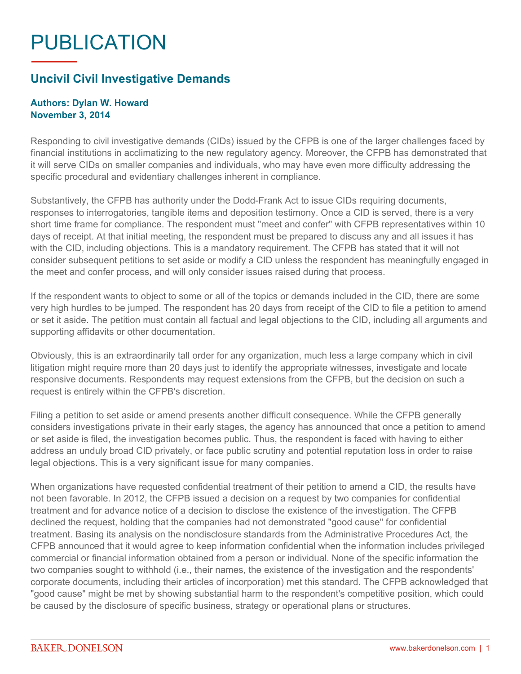## PUBLICATION

## **Uncivil Civil Investigative Demands**

## **Authors: Dylan W. Howard November 3, 2014**

Responding to civil investigative demands (CIDs) issued by the CFPB is one of the larger challenges faced by financial institutions in acclimatizing to the new regulatory agency. Moreover, the CFPB has demonstrated that it will serve CIDs on smaller companies and individuals, who may have even more difficulty addressing the specific procedural and evidentiary challenges inherent in compliance.

Substantively, the CFPB has authority under the Dodd-Frank Act to issue CIDs requiring documents, responses to interrogatories, tangible items and deposition testimony. Once a CID is served, there is a very short time frame for compliance. The respondent must "meet and confer" with CFPB representatives within 10 days of receipt. At that initial meeting, the respondent must be prepared to discuss any and all issues it has with the CID, including objections. This is a mandatory requirement. The CFPB has stated that it will not consider subsequent petitions to set aside or modify a CID unless the respondent has meaningfully engaged in the meet and confer process, and will only consider issues raised during that process.

If the respondent wants to object to some or all of the topics or demands included in the CID, there are some very high hurdles to be jumped. The respondent has 20 days from receipt of the CID to file a petition to amend or set it aside. The petition must contain all factual and legal objections to the CID, including all arguments and supporting affidavits or other documentation.

Obviously, this is an extraordinarily tall order for any organization, much less a large company which in civil litigation might require more than 20 days just to identify the appropriate witnesses, investigate and locate responsive documents. Respondents may request extensions from the CFPB, but the decision on such a request is entirely within the CFPB's discretion.

Filing a petition to set aside or amend presents another difficult consequence. While the CFPB generally considers investigations private in their early stages, the agency has announced that once a petition to amend or set aside is filed, the investigation becomes public. Thus, the respondent is faced with having to either address an unduly broad CID privately, or face public scrutiny and potential reputation loss in order to raise legal objections. This is a very significant issue for many companies.

When organizations have requested confidential treatment of their petition to amend a CID, the results have not been favorable. In 2012, the CFPB issued a decision on a request by two companies for confidential treatment and for advance notice of a decision to disclose the existence of the investigation. The CFPB declined the request, holding that the companies had not demonstrated "good cause" for confidential treatment. Basing its analysis on the nondisclosure standards from the Administrative Procedures Act, the CFPB announced that it would agree to keep information confidential when the information includes privileged commercial or financial information obtained from a person or individual. None of the specific information the two companies sought to withhold (i.e., their names, the existence of the investigation and the respondents' corporate documents, including their articles of incorporation) met this standard. The CFPB acknowledged that "good cause" might be met by showing substantial harm to the respondent's competitive position, which could be caused by the disclosure of specific business, strategy or operational plans or structures.